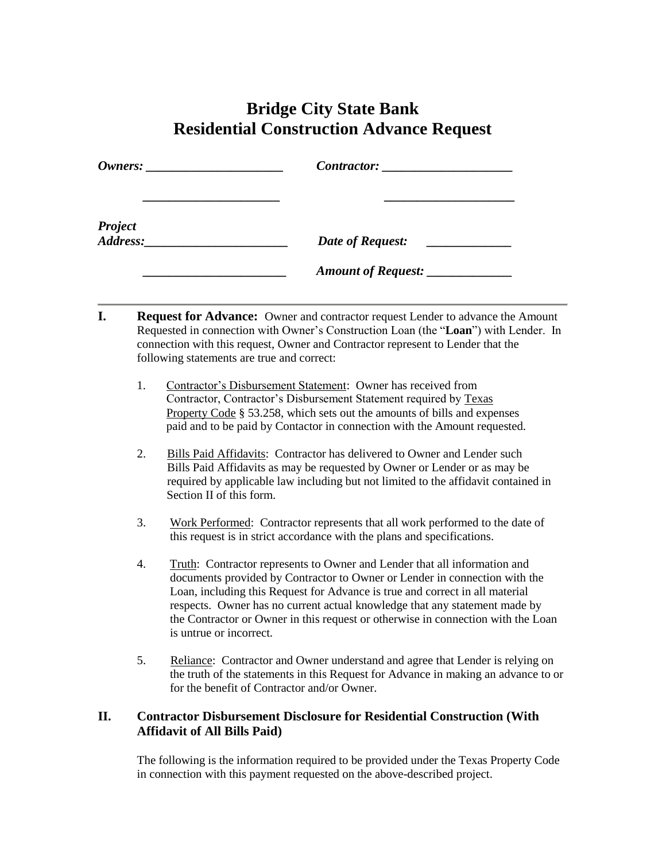## **Bridge City State Bank Residential Construction Advance Request**

| $\mathit{Owners:}\n$ |                                                            |  |
|----------------------|------------------------------------------------------------|--|
|                      |                                                            |  |
|                      | Date of Request:<br><u> 1980 - Alexandr Alexandr III (</u> |  |
|                      | Amount of Request: ____________                            |  |

- **I.** Request for Advance: Owner and contractor request Lender to advance the Amount Requested in connection with Owner's Construction Loan (the "**Loan**") with Lender. In connection with this request, Owner and Contractor represent to Lender that the following statements are true and correct:
	- 1. Contractor's Disbursement Statement: Owner has received from Contractor, Contractor's Disbursement Statement required by Texas Property Code § 53.258, which sets out the amounts of bills and expenses paid and to be paid by Contactor in connection with the Amount requested.
	- 2. Bills Paid Affidavits: Contractor has delivered to Owner and Lender such Bills Paid Affidavits as may be requested by Owner or Lender or as may be required by applicable law including but not limited to the affidavit contained in Section II of this form.
	- 3. Work Performed: Contractor represents that all work performed to the date of this request is in strict accordance with the plans and specifications.
	- 4. Truth: Contractor represents to Owner and Lender that all information and documents provided by Contractor to Owner or Lender in connection with the Loan, including this Request for Advance is true and correct in all material respects. Owner has no current actual knowledge that any statement made by the Contractor or Owner in this request or otherwise in connection with the Loan is untrue or incorrect.
	- 5. Reliance: Contractor and Owner understand and agree that Lender is relying on the truth of the statements in this Request for Advance in making an advance to or for the benefit of Contractor and/or Owner.

## **II. Contractor Disbursement Disclosure for Residential Construction (With Affidavit of All Bills Paid)**

The following is the information required to be provided under the Texas Property Code in connection with this payment requested on the above-described project.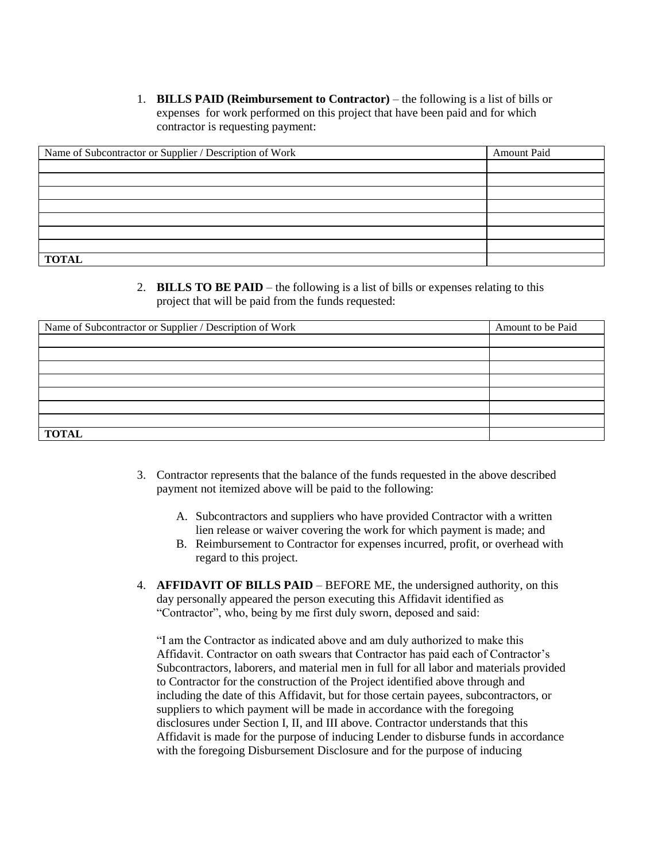1. **BILLS PAID (Reimbursement to Contractor)** – the following is a list of bills or expenses for work performed on this project that have been paid and for which contractor is requesting payment:

| Name of Subcontractor or Supplier / Description of Work | <b>Amount Paid</b> |
|---------------------------------------------------------|--------------------|
|                                                         |                    |
|                                                         |                    |
|                                                         |                    |
|                                                         |                    |
|                                                         |                    |
|                                                         |                    |
|                                                         |                    |
| <b>TOTAL</b>                                            |                    |

2. **BILLS TO BE PAID** – the following is a list of bills or expenses relating to this project that will be paid from the funds requested:

| Name of Subcontractor or Supplier / Description of Work | Amount to be Paid |
|---------------------------------------------------------|-------------------|
|                                                         |                   |
|                                                         |                   |
|                                                         |                   |
|                                                         |                   |
|                                                         |                   |
|                                                         |                   |
|                                                         |                   |
| <b>TOTAL</b>                                            |                   |

- 3. Contractor represents that the balance of the funds requested in the above described payment not itemized above will be paid to the following:
	- A. Subcontractors and suppliers who have provided Contractor with a written lien release or waiver covering the work for which payment is made; and
	- B. Reimbursement to Contractor for expenses incurred, profit, or overhead with regard to this project.
- 4. **AFFIDAVIT OF BILLS PAID** BEFORE ME, the undersigned authority, on this day personally appeared the person executing this Affidavit identified as "Contractor", who, being by me first duly sworn, deposed and said:

"I am the Contractor as indicated above and am duly authorized to make this Affidavit. Contractor on oath swears that Contractor has paid each of Contractor's Subcontractors, laborers, and material men in full for all labor and materials provided to Contractor for the construction of the Project identified above through and including the date of this Affidavit, but for those certain payees, subcontractors, or suppliers to which payment will be made in accordance with the foregoing disclosures under Section I, II, and III above. Contractor understands that this Affidavit is made for the purpose of inducing Lender to disburse funds in accordance with the foregoing Disbursement Disclosure and for the purpose of inducing